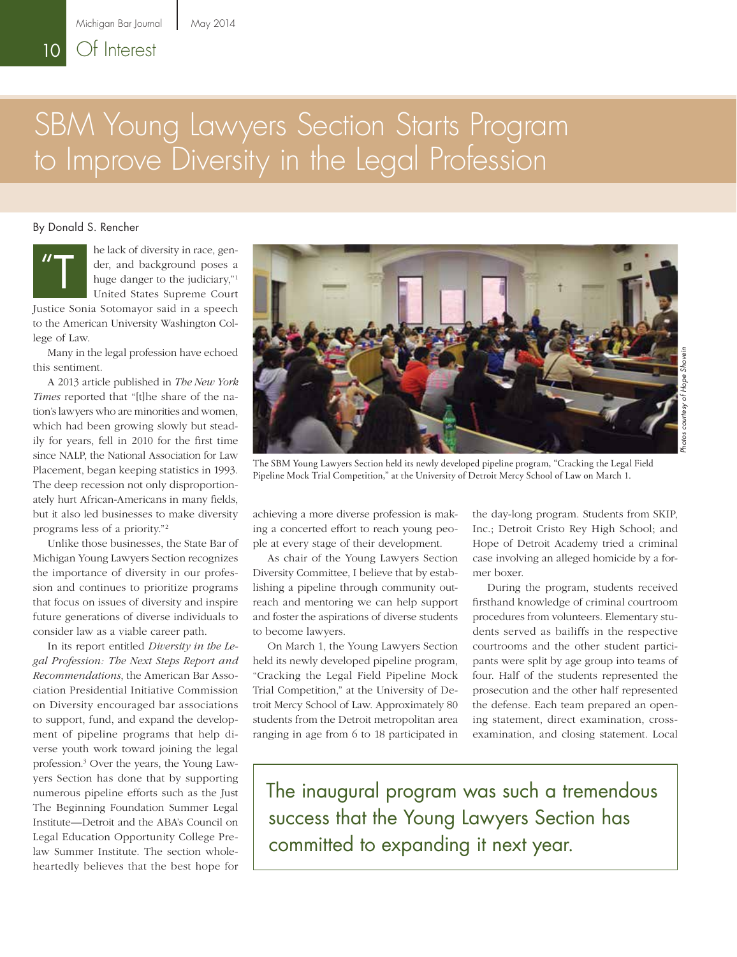# SBM Young Lawyers Section Starts Program to Improve Diversity in the Legal Profession

#### By Donald S. Rencher



he lack of diversity in race, gender, and background poses a huge danger to the judiciary,"<sup>1</sup> United States Supreme Court

Justice Sonia Sotomayor said in a speech to the American University Washington College of Law.

Many in the legal profession have echoed this sentiment.

A 2013 article published in *The New York Times* reported that "[t]he share of the nation's lawyers who are minorities and women, which had been growing slowly but steadily for years, fell in 2010 for the first time since NALP, the National Association for Law Placement, began keeping statistics in 1993. The deep recession not only disproportionately hurt African-Americans in many fields, but it also led businesses to make diversity programs less of a priority."2

Unlike those businesses, the State Bar of Michigan Young Lawyers Section recognizes the importance of diversity in our profession and continues to prioritize programs that focus on issues of diversity and inspire future generations of diverse individuals to consider law as a viable career path.

In its report entitled *Diversity in the Legal Profession: The Next Steps Report and Recommendations*, the American Bar Association Presidential Initiative Commission on Diversity encouraged bar associations to support, fund, and expand the development of pipeline programs that help diverse youth work toward joining the legal profession.3 Over the years, the Young Lawyers Section has done that by supporting numerous pipeline efforts such as the Just The Beginning Foundation Summer Legal Institute—Detroit and the ABA's Council on Legal Education Opportunity College Prelaw Summer Institute. The section wholeheartedly believes that the best hope for



The SBM Young Lawyers Section held its newly developed pipeline program, "Cracking the Legal Field Pipeline Mock Trial Competition," at the University of Detroit Mercy School of Law on March 1.

achieving a more diverse profession is making a concerted effort to reach young people at every stage of their development.

As chair of the Young Lawyers Section Diversity Committee, I believe that by establishing a pipeline through community outreach and mentoring we can help support and foster the aspirations of diverse students to become lawyers.

On March 1, the Young Lawyers Section held its newly developed pipeline program, "Cracking the Legal Field Pipeline Mock Trial Competition," at the University of Detroit Mercy School of Law. Approximately 80 students from the Detroit metropolitan area ranging in age from 6 to 18 participated in the day-long program. Students from SKIP, Inc.; Detroit Cristo Rey High School; and Hope of Detroit Academy tried a criminal case involving an alleged homicide by a former boxer.

During the program, students received firsthand knowledge of criminal courtroom procedures from volunteers. Elementary students served as bailiffs in the respective courtrooms and the other student participants were split by age group into teams of four. Half of the students represented the prosecution and the other half represented the defense. Each team prepared an opening statement, direct examination, crossexamination, and closing statement. Local

The inaugural program was such a tremendous success that the Young Lawyers Section has committed to expanding it next year.